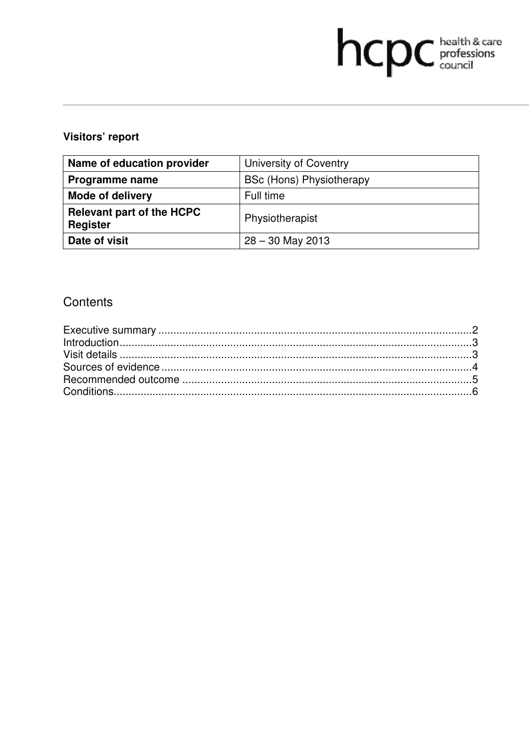# hcpc health & care

# Visitors' report

| Name of education provider                          | University of Coventry          |
|-----------------------------------------------------|---------------------------------|
| <b>Programme name</b>                               | <b>BSc (Hons) Physiotherapy</b> |
| <b>Mode of delivery</b>                             | Full time                       |
| <b>Relevant part of the HCPC</b><br><b>Register</b> | Physiotherapist                 |
| Date of visit                                       | $28 - 30$ May 2013              |

# Contents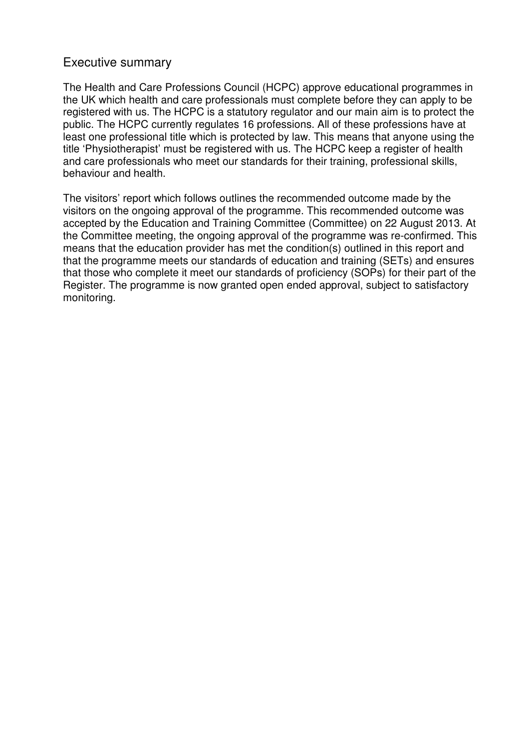## Executive summary

The Health and Care Professions Council (HCPC) approve educational programmes in the UK which health and care professionals must complete before they can apply to be registered with us. The HCPC is a statutory regulator and our main aim is to protect the public. The HCPC currently regulates 16 professions. All of these professions have at least one professional title which is protected by law. This means that anyone using the title 'Physiotherapist' must be registered with us. The HCPC keep a register of health and care professionals who meet our standards for their training, professional skills, behaviour and health.

The visitors' report which follows outlines the recommended outcome made by the visitors on the ongoing approval of the programme. This recommended outcome was accepted by the Education and Training Committee (Committee) on 22 August 2013. At the Committee meeting, the ongoing approval of the programme was re-confirmed. This means that the education provider has met the condition(s) outlined in this report and that the programme meets our standards of education and training (SETs) and ensures that those who complete it meet our standards of proficiency (SOPs) for their part of the Register. The programme is now granted open ended approval, subject to satisfactory monitoring.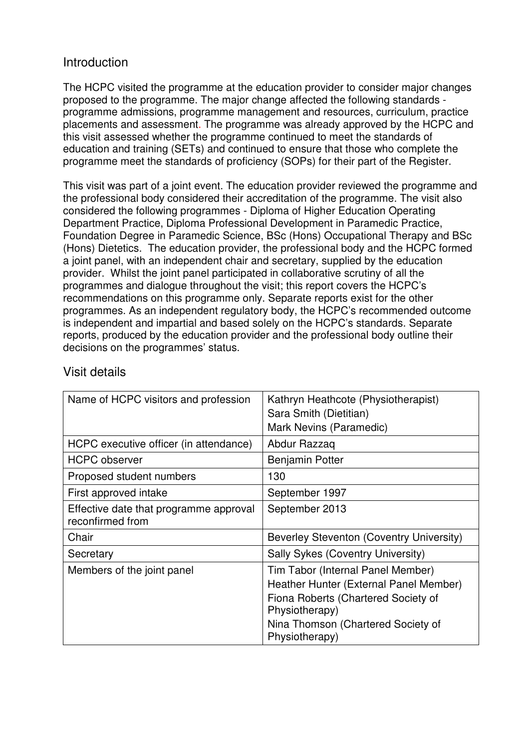# **Introduction**

The HCPC visited the programme at the education provider to consider major changes proposed to the programme. The major change affected the following standards programme admissions, programme management and resources, curriculum, practice placements and assessment. The programme was already approved by the HCPC and this visit assessed whether the programme continued to meet the standards of education and training (SETs) and continued to ensure that those who complete the programme meet the standards of proficiency (SOPs) for their part of the Register.

This visit was part of a joint event. The education provider reviewed the programme and the professional body considered their accreditation of the programme. The visit also considered the following programmes - Diploma of Higher Education Operating Department Practice, Diploma Professional Development in Paramedic Practice, Foundation Degree in Paramedic Science, BSc (Hons) Occupational Therapy and BSc (Hons) Dietetics. The education provider, the professional body and the HCPC formed a joint panel, with an independent chair and secretary, supplied by the education provider. Whilst the joint panel participated in collaborative scrutiny of all the programmes and dialogue throughout the visit; this report covers the HCPC's recommendations on this programme only. Separate reports exist for the other programmes. As an independent regulatory body, the HCPC's recommended outcome is independent and impartial and based solely on the HCPC's standards. Separate reports, produced by the education provider and the professional body outline their decisions on the programmes' status.

| Name of HCPC visitors and profession                       | Kathryn Heathcote (Physiotherapist)<br>Sara Smith (Dietitian)<br>Mark Nevins (Paramedic)                                                                                                     |
|------------------------------------------------------------|----------------------------------------------------------------------------------------------------------------------------------------------------------------------------------------------|
| HCPC executive officer (in attendance)                     | Abdur Razzaq                                                                                                                                                                                 |
| <b>HCPC</b> observer                                       | Benjamin Potter                                                                                                                                                                              |
| Proposed student numbers                                   | 130                                                                                                                                                                                          |
| First approved intake                                      | September 1997                                                                                                                                                                               |
| Effective date that programme approval<br>reconfirmed from | September 2013                                                                                                                                                                               |
| Chair                                                      | Beverley Steventon (Coventry University)                                                                                                                                                     |
| Secretary                                                  | Sally Sykes (Coventry University)                                                                                                                                                            |
| Members of the joint panel                                 | Tim Tabor (Internal Panel Member)<br>Heather Hunter (External Panel Member)<br>Fiona Roberts (Chartered Society of<br>Physiotherapy)<br>Nina Thomson (Chartered Society of<br>Physiotherapy) |

# Visit details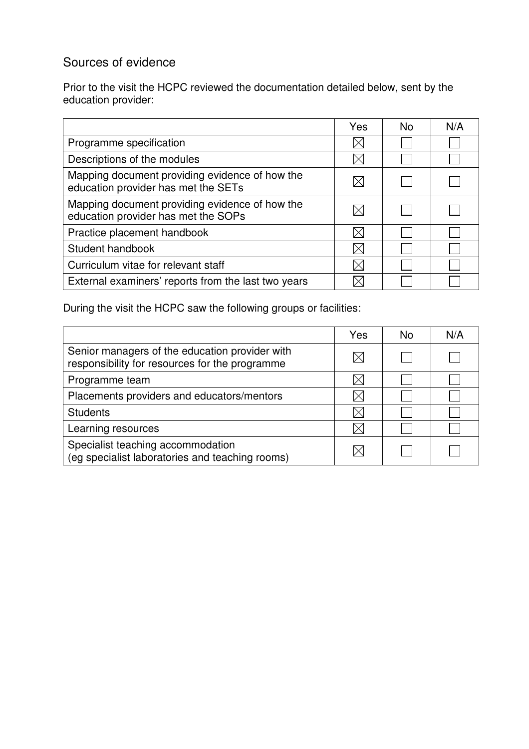# Sources of evidence

Prior to the visit the HCPC reviewed the documentation detailed below, sent by the education provider:

|                                                                                       | Yes | No. | N/A |
|---------------------------------------------------------------------------------------|-----|-----|-----|
| Programme specification                                                               |     |     |     |
| Descriptions of the modules                                                           |     |     |     |
| Mapping document providing evidence of how the<br>education provider has met the SETs |     |     |     |
| Mapping document providing evidence of how the<br>education provider has met the SOPs |     |     |     |
| Practice placement handbook                                                           |     |     |     |
| Student handbook                                                                      |     |     |     |
| Curriculum vitae for relevant staff                                                   |     |     |     |
| External examiners' reports from the last two years                                   |     |     |     |

During the visit the HCPC saw the following groups or facilities:

|                                                                                                  | Yes | Nο | N/A |
|--------------------------------------------------------------------------------------------------|-----|----|-----|
| Senior managers of the education provider with<br>responsibility for resources for the programme |     |    |     |
| Programme team                                                                                   |     |    |     |
| Placements providers and educators/mentors                                                       |     |    |     |
| <b>Students</b>                                                                                  |     |    |     |
| Learning resources                                                                               |     |    |     |
| Specialist teaching accommodation<br>(eg specialist laboratories and teaching rooms)             |     |    |     |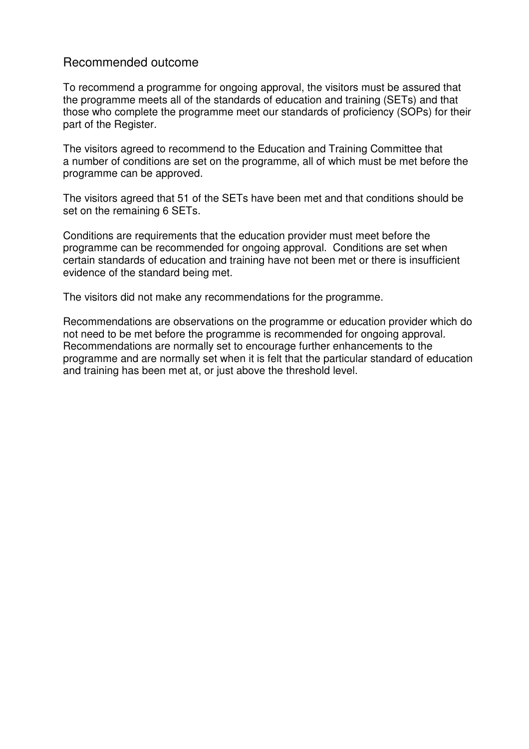## Recommended outcome

To recommend a programme for ongoing approval, the visitors must be assured that the programme meets all of the standards of education and training (SETs) and that those who complete the programme meet our standards of proficiency (SOPs) for their part of the Register.

The visitors agreed to recommend to the Education and Training Committee that a number of conditions are set on the programme, all of which must be met before the programme can be approved.

The visitors agreed that 51 of the SETs have been met and that conditions should be set on the remaining 6 SETs.

Conditions are requirements that the education provider must meet before the programme can be recommended for ongoing approval. Conditions are set when certain standards of education and training have not been met or there is insufficient evidence of the standard being met.

The visitors did not make any recommendations for the programme.

Recommendations are observations on the programme or education provider which do not need to be met before the programme is recommended for ongoing approval. Recommendations are normally set to encourage further enhancements to the programme and are normally set when it is felt that the particular standard of education and training has been met at, or just above the threshold level.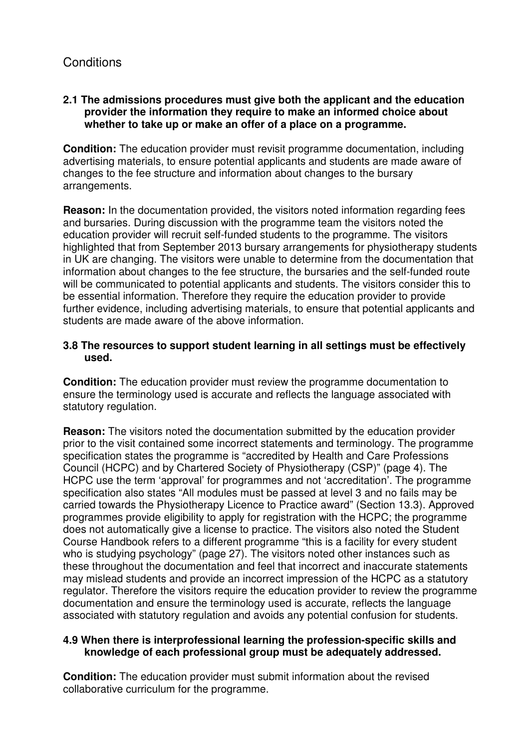## **2.1 The admissions procedures must give both the applicant and the education provider the information they require to make an informed choice about whether to take up or make an offer of a place on a programme.**

**Condition:** The education provider must revisit programme documentation, including advertising materials, to ensure potential applicants and students are made aware of changes to the fee structure and information about changes to the bursary arrangements.

**Reason:** In the documentation provided, the visitors noted information regarding fees and bursaries. During discussion with the programme team the visitors noted the education provider will recruit self-funded students to the programme. The visitors highlighted that from September 2013 bursary arrangements for physiotherapy students in UK are changing. The visitors were unable to determine from the documentation that information about changes to the fee structure, the bursaries and the self-funded route will be communicated to potential applicants and students. The visitors consider this to be essential information. Therefore they require the education provider to provide further evidence, including advertising materials, to ensure that potential applicants and students are made aware of the above information.

## **3.8 The resources to support student learning in all settings must be effectively used.**

**Condition:** The education provider must review the programme documentation to ensure the terminology used is accurate and reflects the language associated with statutory regulation.

**Reason:** The visitors noted the documentation submitted by the education provider prior to the visit contained some incorrect statements and terminology. The programme specification states the programme is "accredited by Health and Care Professions Council (HCPC) and by Chartered Society of Physiotherapy (CSP)" (page 4). The HCPC use the term 'approval' for programmes and not 'accreditation'. The programme specification also states "All modules must be passed at level 3 and no fails may be carried towards the Physiotherapy Licence to Practice award" (Section 13.3). Approved programmes provide eligibility to apply for registration with the HCPC; the programme does not automatically give a license to practice. The visitors also noted the Student Course Handbook refers to a different programme "this is a facility for every student who is studying psychology" (page 27). The visitors noted other instances such as these throughout the documentation and feel that incorrect and inaccurate statements may mislead students and provide an incorrect impression of the HCPC as a statutory regulator. Therefore the visitors require the education provider to review the programme documentation and ensure the terminology used is accurate, reflects the language associated with statutory regulation and avoids any potential confusion for students.

### **4.9 When there is interprofessional learning the profession-specific skills and knowledge of each professional group must be adequately addressed.**

**Condition:** The education provider must submit information about the revised collaborative curriculum for the programme.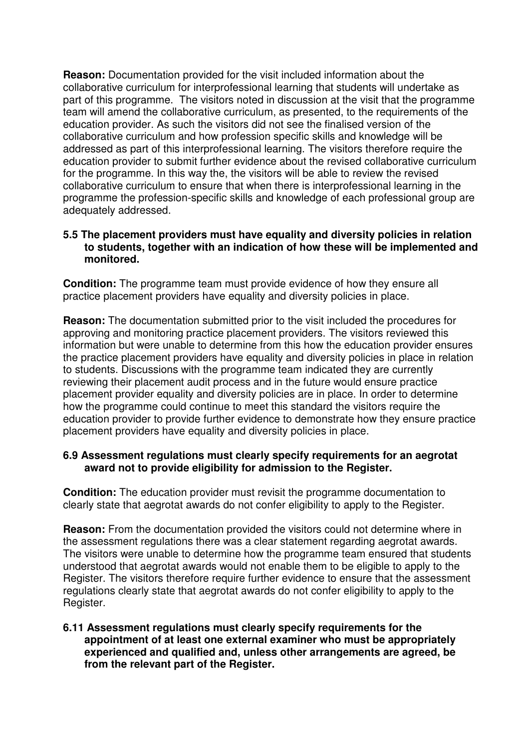**Reason:** Documentation provided for the visit included information about the collaborative curriculum for interprofessional learning that students will undertake as part of this programme. The visitors noted in discussion at the visit that the programme team will amend the collaborative curriculum, as presented, to the requirements of the education provider. As such the visitors did not see the finalised version of the collaborative curriculum and how profession specific skills and knowledge will be addressed as part of this interprofessional learning. The visitors therefore require the education provider to submit further evidence about the revised collaborative curriculum for the programme. In this way the, the visitors will be able to review the revised collaborative curriculum to ensure that when there is interprofessional learning in the programme the profession-specific skills and knowledge of each professional group are adequately addressed.

### **5.5 The placement providers must have equality and diversity policies in relation to students, together with an indication of how these will be implemented and monitored.**

**Condition:** The programme team must provide evidence of how they ensure all practice placement providers have equality and diversity policies in place.

**Reason:** The documentation submitted prior to the visit included the procedures for approving and monitoring practice placement providers. The visitors reviewed this information but were unable to determine from this how the education provider ensures the practice placement providers have equality and diversity policies in place in relation to students. Discussions with the programme team indicated they are currently reviewing their placement audit process and in the future would ensure practice placement provider equality and diversity policies are in place. In order to determine how the programme could continue to meet this standard the visitors require the education provider to provide further evidence to demonstrate how they ensure practice placement providers have equality and diversity policies in place.

### **6.9 Assessment regulations must clearly specify requirements for an aegrotat award not to provide eligibility for admission to the Register.**

**Condition:** The education provider must revisit the programme documentation to clearly state that aegrotat awards do not confer eligibility to apply to the Register.

**Reason:** From the documentation provided the visitors could not determine where in the assessment regulations there was a clear statement regarding aegrotat awards. The visitors were unable to determine how the programme team ensured that students understood that aegrotat awards would not enable them to be eligible to apply to the Register. The visitors therefore require further evidence to ensure that the assessment regulations clearly state that aegrotat awards do not confer eligibility to apply to the Register.

### **6.11 Assessment regulations must clearly specify requirements for the appointment of at least one external examiner who must be appropriately experienced and qualified and, unless other arrangements are agreed, be from the relevant part of the Register.**